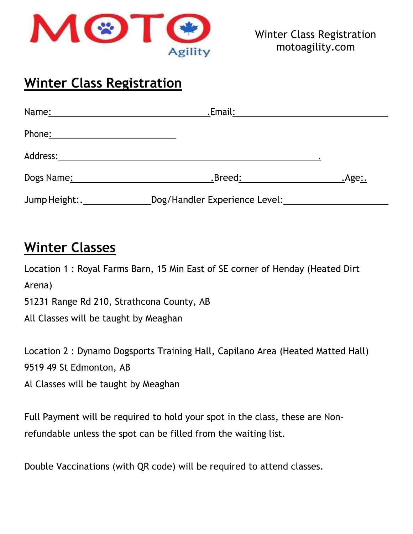

# **Winter Class Registration**

| Name:          | .Email:                       |      |
|----------------|-------------------------------|------|
| Phone:         |                               |      |
| Address:_      |                               |      |
| Dogs Name:     |                               | Age: |
| Jump Height:._ | Dog/Handler Experience Level: |      |

# **Winter Classes**

Location 1 : Royal Farms Barn, 15 Min East of SE corner of Henday (Heated Dirt Arena)

51231 Range Rd 210, Strathcona County, AB

All Classes will be taught by Meaghan

Location 2 : Dynamo Dogsports Training Hall, Capilano Area (Heated Matted Hall)

9519 49 St Edmonton, AB

Al Classes will be taught by Meaghan

Full Payment will be required to hold your spot in the class, these are Nonrefundable unless the spot can be filled from the waiting list.

Double Vaccinations (with QR code) will be required to attend classes.